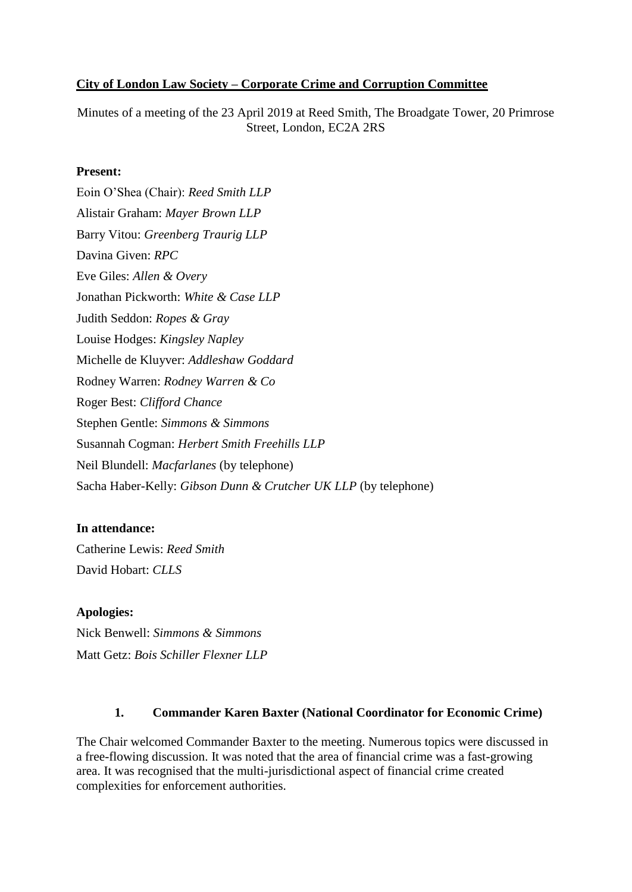### **City of London Law Society – Corporate Crime and Corruption Committee**

Minutes of a meeting of the 23 April 2019 at Reed Smith, The Broadgate Tower, 20 Primrose Street, London, EC2A 2RS

#### **Present:**

Eoin O'Shea (Chair): *Reed Smith LLP* Alistair Graham: *Mayer Brown LLP* Barry Vitou: *Greenberg Traurig LLP* Davina Given: *RPC* Eve Giles: *Allen & Overy*  Jonathan Pickworth: *White & Case LLP* Judith Seddon: *Ropes & Gray* Louise Hodges: *Kingsley Napley* Michelle de Kluyver: *Addleshaw Goddard* Rodney Warren: *Rodney Warren & Co* Roger Best: *Clifford Chance* Stephen Gentle: *Simmons & Simmons* Susannah Cogman: *Herbert Smith Freehills LLP* Neil Blundell: *Macfarlanes* (by telephone) Sacha Haber-Kelly: *Gibson Dunn & Crutcher UK LLP* (by telephone)

### **In attendance:**

Catherine Lewis: *Reed Smith* David Hobart: *CLLS*

### **Apologies:**

Nick Benwell: *Simmons & Simmons* Matt Getz: *Bois Schiller Flexner LLP*

### **1. Commander Karen Baxter (National Coordinator for Economic Crime)**

The Chair welcomed Commander Baxter to the meeting. Numerous topics were discussed in a free-flowing discussion. It was noted that the area of financial crime was a fast-growing area. It was recognised that the multi-jurisdictional aspect of financial crime created complexities for enforcement authorities.